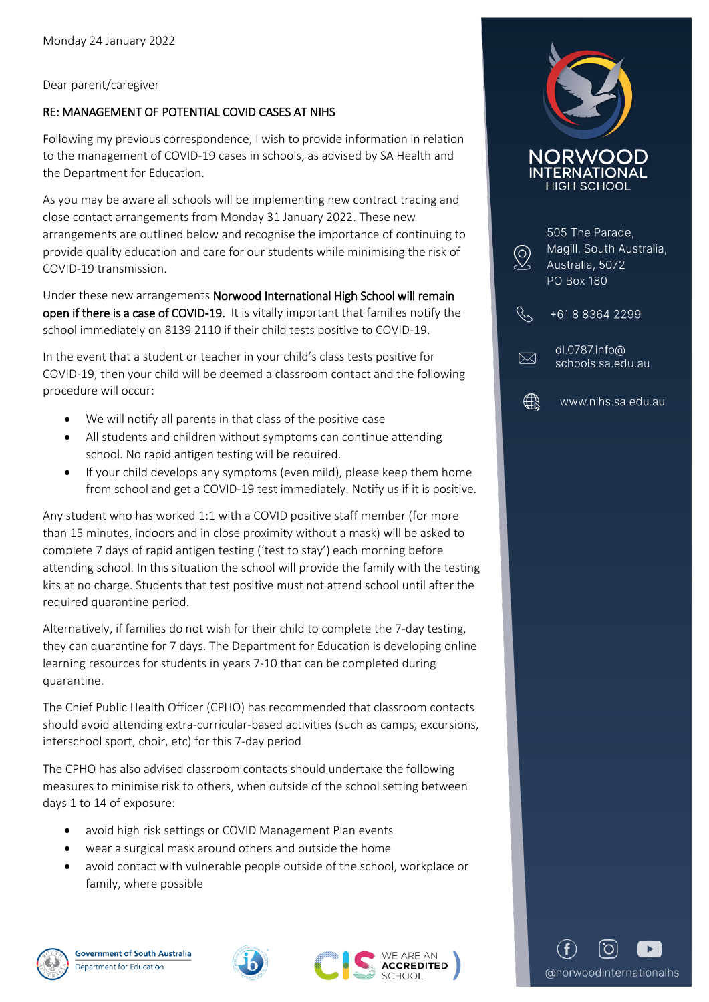Dear parent/caregiver

## RE: MANAGEMENT OF POTENTIAL COVID CASES AT NIHS

Following my previous correspondence, I wish to provide information in relation to the management of COVID-19 cases in schools, as advised by SA Health and the Department for Education.

As you may be aware all schools will be implementing new contract tracing and close contact arrangements from Monday 31 January 2022. These new arrangements are outlined below and recognise the importance of continuing to provide quality education and care for our students while minimising the risk of COVID-19 transmission.

Under these new arrangements Norwood International High School will remain open if there is a case of COVID-19. It is vitally important that families notify the school immediately on 8139 2110 if their child tests positive to COVID-19.

In the event that a student or teacher in your child's class tests positive for COVID-19, then your child will be deemed a classroom contact and the following procedure will occur:

- We will notify all parents in that class of the positive case
- All students and children without symptoms can continue attending school. No rapid antigen testing will be required.
- If your child develops any symptoms (even mild), please keep them home from school and get a COVID-19 test immediately. Notify us if it is positive.

Any student who has worked 1:1 with a COVID positive staff member (for more than 15 minutes, indoors and in close proximity without a mask) will be asked to complete 7 days of rapid antigen testing ('test to stay') each morning before attending school. In this situation the school will provide the family with the testing kits at no charge. Students that test positive must not attend school until after the required quarantine period.

Alternatively, if families do not wish for their child to complete the 7-day testing, they can quarantine for 7 days. The Department for Education is developing online learning resources for students in years 7-10 that can be completed during quarantine.

The Chief Public Health Officer (CPHO) has recommended that classroom contacts should avoid attending extra-curricular-based activities (such as camps, excursions, interschool sport, choir, etc) for this 7-day period.

The CPHO has also advised classroom contacts should undertake the following measures to minimise risk to others, when outside of the school setting between days 1 to 14 of exposure:

- avoid high risk settings or COVID Management Plan events
- wear a surgical mask around others and outside the home
- avoid contact with vulnerable people outside of the school, workplace or family, where possible











@norwoodinternationalhs